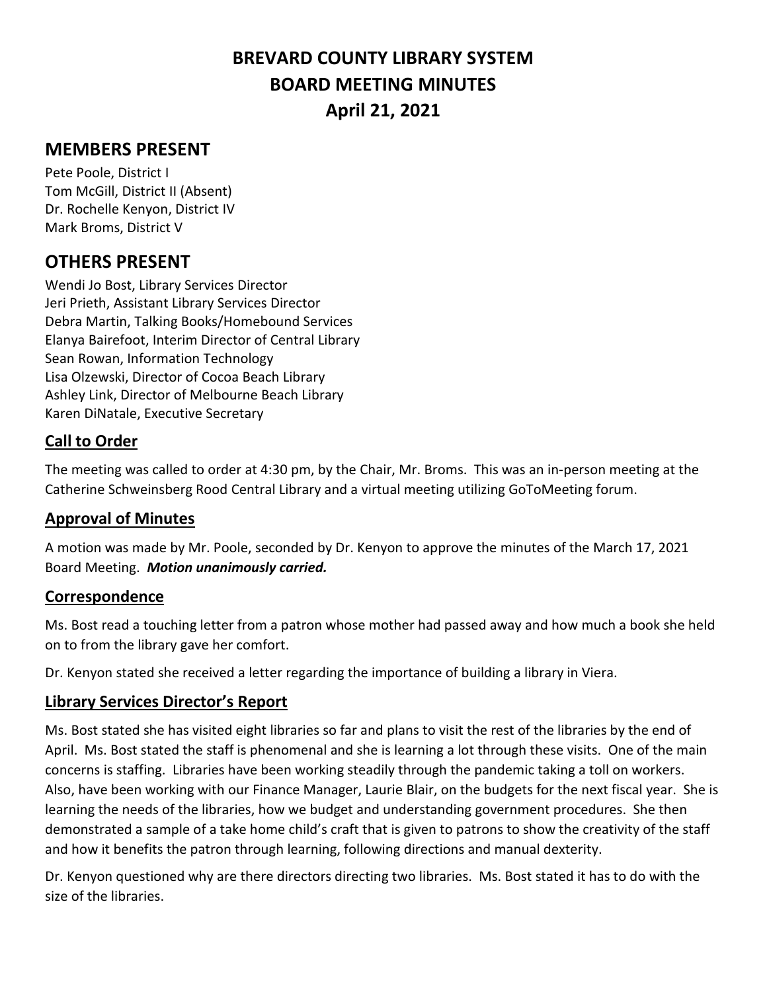# **BREVARD COUNTY LIBRARY SYSTEM BOARD MEETING MINUTES April 21, 2021**

# **MEMBERS PRESENT**

Pete Poole, District I Tom McGill, District II (Absent) Dr. Rochelle Kenyon, District IV Mark Broms, District V

# **OTHERS PRESENT**

Wendi Jo Bost, Library Services Director Jeri Prieth, Assistant Library Services Director Debra Martin, Talking Books/Homebound Services Elanya Bairefoot, Interim Director of Central Library Sean Rowan, Information Technology Lisa Olzewski, Director of Cocoa Beach Library Ashley Link, Director of Melbourne Beach Library Karen DiNatale, Executive Secretary

#### **Call to Order**

The meeting was called to order at 4:30 pm, by the Chair, Mr. Broms. This was an in-person meeting at the Catherine Schweinsberg Rood Central Library and a virtual meeting utilizing GoToMeeting forum.

#### **Approval of Minutes**

A motion was made by Mr. Poole, seconded by Dr. Kenyon to approve the minutes of the March 17, 2021 Board Meeting. *Motion unanimously carried.*

#### **Correspondence**

Ms. Bost read a touching letter from a patron whose mother had passed away and how much a book she held on to from the library gave her comfort.

Dr. Kenyon stated she received a letter regarding the importance of building a library in Viera.

#### **Library Services Director's Report**

Ms. Bost stated she has visited eight libraries so far and plans to visit the rest of the libraries by the end of April. Ms. Bost stated the staff is phenomenal and she is learning a lot through these visits. One of the main concerns is staffing. Libraries have been working steadily through the pandemic taking a toll on workers. Also, have been working with our Finance Manager, Laurie Blair, on the budgets for the next fiscal year. She is learning the needs of the libraries, how we budget and understanding government procedures. She then demonstrated a sample of a take home child's craft that is given to patrons to show the creativity of the staff and how it benefits the patron through learning, following directions and manual dexterity.

Dr. Kenyon questioned why are there directors directing two libraries. Ms. Bost stated it has to do with the size of the libraries.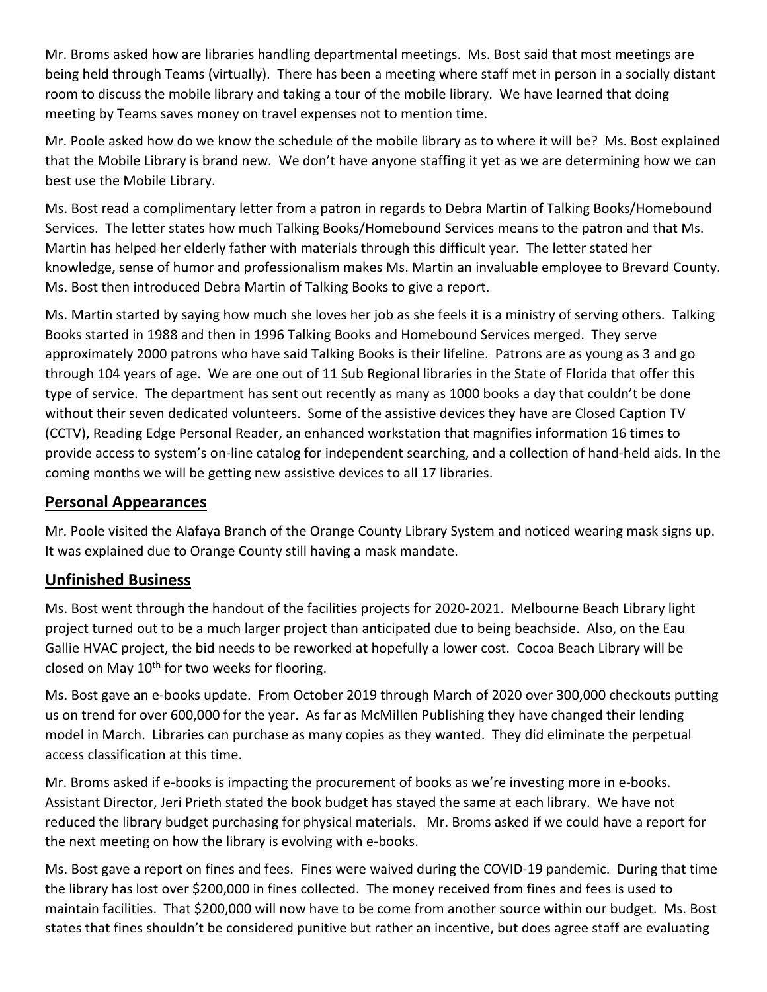Mr. Broms asked how are libraries handling departmental meetings. Ms. Bost said that most meetings are being held through Teams (virtually). There has been a meeting where staff met in person in a socially distant room to discuss the mobile library and taking a tour of the mobile library. We have learned that doing meeting by Teams saves money on travel expenses not to mention time.

Mr. Poole asked how do we know the schedule of the mobile library as to where it will be? Ms. Bost explained that the Mobile Library is brand new. We don't have anyone staffing it yet as we are determining how we can best use the Mobile Library.

Ms. Bost read a complimentary letter from a patron in regards to Debra Martin of Talking Books/Homebound Services. The letter states how much Talking Books/Homebound Services means to the patron and that Ms. Martin has helped her elderly father with materials through this difficult year. The letter stated her knowledge, sense of humor and professionalism makes Ms. Martin an invaluable employee to Brevard County. Ms. Bost then introduced Debra Martin of Talking Books to give a report.

Ms. Martin started by saying how much she loves her job as she feels it is a ministry of serving others. Talking Books started in 1988 and then in 1996 Talking Books and Homebound Services merged. They serve approximately 2000 patrons who have said Talking Books is their lifeline. Patrons are as young as 3 and go through 104 years of age. We are one out of 11 Sub Regional libraries in the State of Florida that offer this type of service. The department has sent out recently as many as 1000 books a day that couldn't be done without their seven dedicated volunteers. Some of the assistive devices they have are Closed Caption TV (CCTV), Reading Edge Personal Reader, an enhanced workstation that magnifies information 16 times to provide access to system's on-line catalog for independent searching, and a collection of hand-held aids. In the coming months we will be getting new assistive devices to all 17 libraries.

## **Personal Appearances**

Mr. Poole visited the Alafaya Branch of the Orange County Library System and noticed wearing mask signs up. It was explained due to Orange County still having a mask mandate.

#### **Unfinished Business**

Ms. Bost went through the handout of the facilities projects for 2020-2021. Melbourne Beach Library light project turned out to be a much larger project than anticipated due to being beachside. Also, on the Eau Gallie HVAC project, the bid needs to be reworked at hopefully a lower cost. Cocoa Beach Library will be closed on May  $10^{th}$  for two weeks for flooring.

Ms. Bost gave an e-books update. From October 2019 through March of 2020 over 300,000 checkouts putting us on trend for over 600,000 for the year. As far as McMillen Publishing they have changed their lending model in March. Libraries can purchase as many copies as they wanted. They did eliminate the perpetual access classification at this time.

Mr. Broms asked if e-books is impacting the procurement of books as we're investing more in e-books. Assistant Director, Jeri Prieth stated the book budget has stayed the same at each library. We have not reduced the library budget purchasing for physical materials. Mr. Broms asked if we could have a report for the next meeting on how the library is evolving with e-books.

Ms. Bost gave a report on fines and fees. Fines were waived during the COVID-19 pandemic. During that time the library has lost over \$200,000 in fines collected. The money received from fines and fees is used to maintain facilities. That \$200,000 will now have to be come from another source within our budget. Ms. Bost states that fines shouldn't be considered punitive but rather an incentive, but does agree staff are evaluating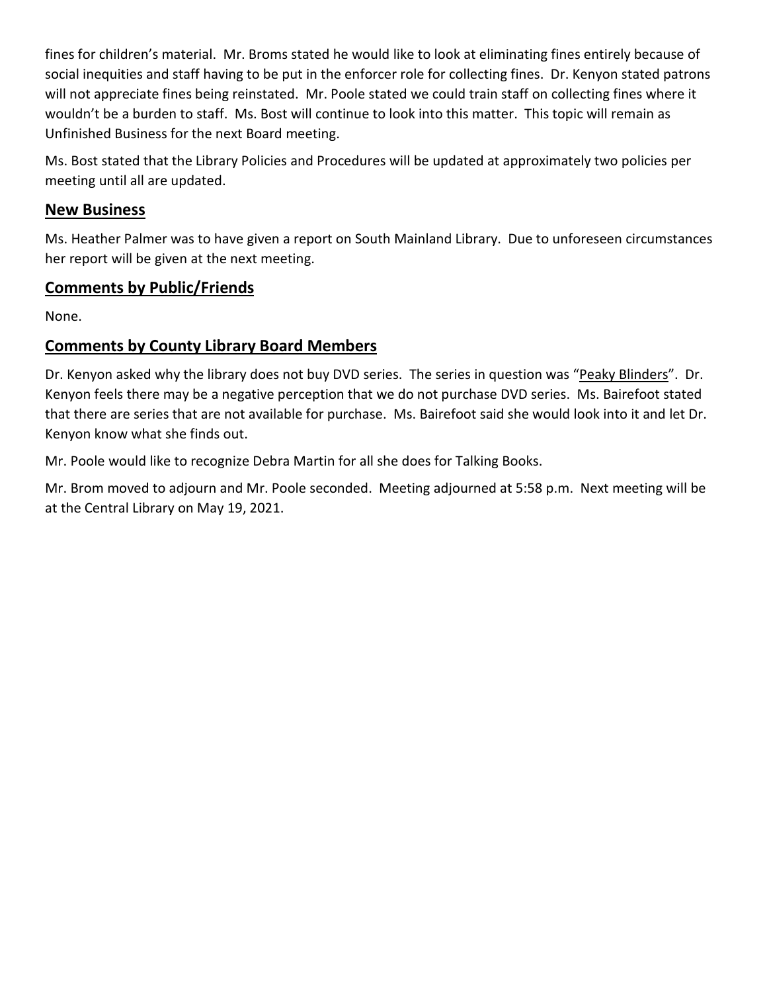fines for children's material. Mr. Broms stated he would like to look at eliminating fines entirely because of social inequities and staff having to be put in the enforcer role for collecting fines. Dr. Kenyon stated patrons will not appreciate fines being reinstated. Mr. Poole stated we could train staff on collecting fines where it wouldn't be a burden to staff. Ms. Bost will continue to look into this matter. This topic will remain as Unfinished Business for the next Board meeting.

Ms. Bost stated that the Library Policies and Procedures will be updated at approximately two policies per meeting until all are updated.

### **New Business**

Ms. Heather Palmer was to have given a report on South Mainland Library. Due to unforeseen circumstances her report will be given at the next meeting.

### **Comments by Public/Friends**

None.

# **Comments by County Library Board Members**

Dr. Kenyon asked why the library does not buy DVD series. The series in question was "Peaky Blinders". Dr. Kenyon feels there may be a negative perception that we do not purchase DVD series. Ms. Bairefoot stated that there are series that are not available for purchase. Ms. Bairefoot said she would look into it and let Dr. Kenyon know what she finds out.

Mr. Poole would like to recognize Debra Martin for all she does for Talking Books.

Mr. Brom moved to adjourn and Mr. Poole seconded. Meeting adjourned at 5:58 p.m. Next meeting will be at the Central Library on May 19, 2021.